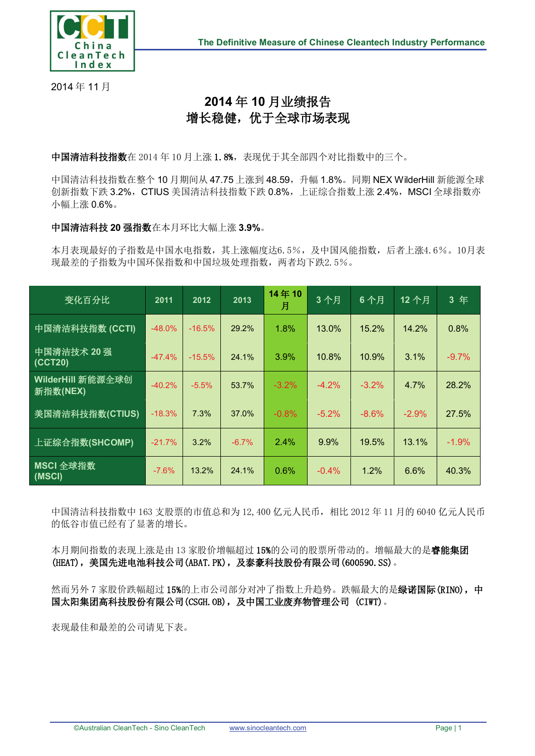

2014 年 11 月

## **2014** 年 **10** 月业绩报告 增长稳健,优于全球市场表现

中国清洁科技指数在 2014 年 10 月上涨 1.8%,表现优于其全部四个对比指数中的三个。

中国清洁科技指数在整个 10 月期间从 47.75 上涨到 48.59, 升幅 1.8%。同期 NEX WilderHill 新能源全球 创新指数下跌 3.2%, CTIUS 美国清洁科技指数下跌 0.8%, 上证综合指数上涨 2.4%, MSCI 全球指数亦 小幅上涨 0.6%。

## 中国清洁科技 **20** 强指数在本月环比大幅上涨 **3.9%**。

本月表现最好的子指数是中国水电指数,其上涨幅度达6.5%,及中国风能指数,后者上涨4.6%。10月表 现最差的子指数为中国环保指数和中国垃圾处理指数,两者均下跌2.5%。

| 变化百分比                         | 2011     | 2012     | 2013    | 14年10<br>月 | 3个月     | 6个月      | 12个月    | 3年      |
|-------------------------------|----------|----------|---------|------------|---------|----------|---------|---------|
| 中国清洁科技指数 (CCTI)               | $-48.0%$ | $-16.5%$ | 29.2%   | 1.8%       | 13.0%   | 15.2%    | 14.2%   | 0.8%    |
| 中国清洁技术 20 强<br>(CCT20)        | $-47.4%$ | $-15.5%$ | 24.1%   | 3.9%       | 10.8%   | 10.9%    | 3.1%    | $-9.7%$ |
| WilderHill 新能源全球创<br>新指数(NEX) | $-40.2%$ | $-5.5%$  | 53.7%   | $-3.2\%$   | $-4.2%$ | $-3.2\%$ | $4.7\%$ | 28.2%   |
| 美国清洁科技指数(CTIUS)               | $-18.3%$ | 7.3%     | 37.0%   | $-0.8%$    | $-5.2%$ | $-8.6%$  | $-2.9%$ | 27.5%   |
| 上证综合指数(SHCOMP)                | $-21.7%$ | 3.2%     | $-6.7%$ | 2.4%       | 9.9%    | 19.5%    | 13.1%   | $-1.9%$ |
| MSCI 全球指数<br>(MSCI)           | $-7.6%$  | 13.2%    | 24.1%   | 0.6%       | $-0.4%$ | 1.2%     | 6.6%    | 40.3%   |

中国清洁科技指数中 163 支股票的市值总和为 12,400 亿元人民币,相比 2012 年 11 月的 6040 亿元人民币 的低谷市值已经有了显著的增长。

本月期间指数的表现上涨是由 13 家股价增幅超过 15%的公司的股票所带动的。增幅最大的是睿能集团 (HEAT),美国先进电池科技公司(ABAT.PK),及泰豪科技股份有限公司(600590.SS)。

然而另外 7 家股价跌幅超过 15%的上市公司部分对冲了指数上升趋势。跌幅最大的是**绿诺国际(RINO), 中** 国太阳集团高科技股份有限公司(CSGH.OB),及中国工业废弃物管理公司 (CIWT)。

表现最佳和最差的公司请见下表。